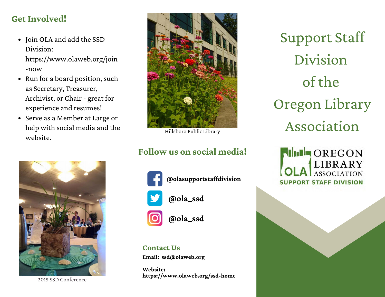# **Get Involved!**

- Join OLA and add the SSD Division: https://www.olaweb.org/join -now
- Run for a board position, such as Secretary, Treasurer, Archivist, or Chair - great for experience and resumes!
- Serve as a Member at Large or help with social media and the website.



2015 SSD Conference



Hillsboro Public Library

# **Follow us on social media!**



**@olasupportstaffdivision**

**@ola\_ssd**

**@ola\_ssd**

### **Contact Us**

**Email: [ssd@olaweb.org](mailto:ssd@olaweb.org)**

**Website: https://www.olaweb.org/ssd-home**

Support Staff Division of the Oregon Library Association

**THE OREGON LIBRARY** ASSOCIATION **SUPPORT STAFF DIVISION**